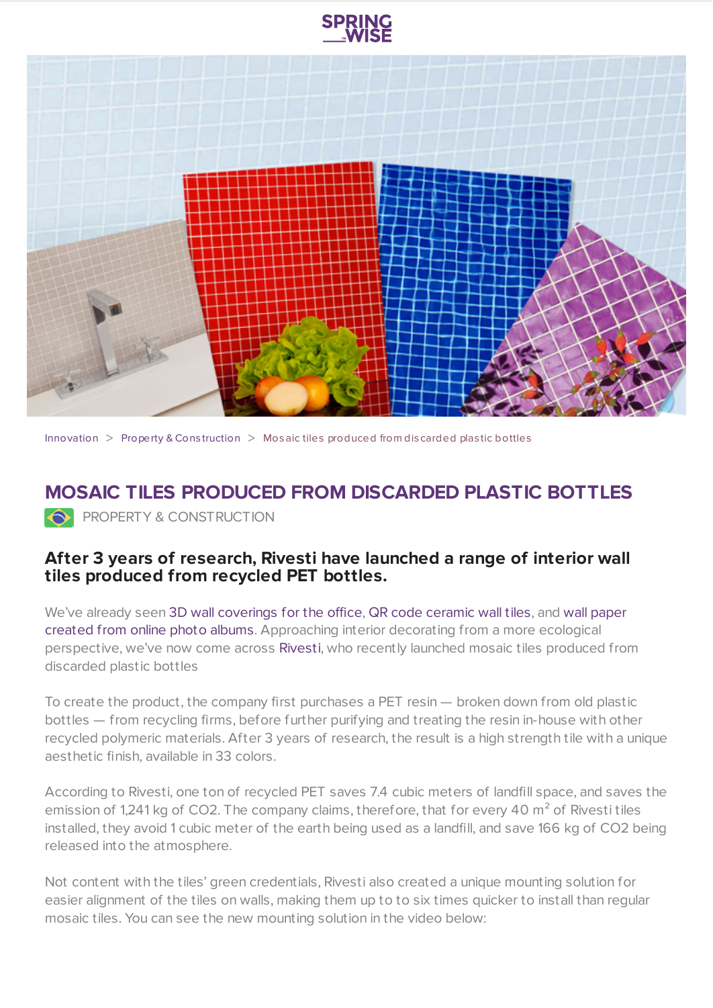

[Innovation](https://www.springwise.com/search?type=innovation)  $>$  [Property](https://www.springwise.com/search?type=innovation§or=property-and-construction) & Construction  $>$  Mosaic tiles produced from discarded plastic bottles

## **MOSAIC TILES PRODUCED FROM DISCARDED PLASTIC BOTTLES PROPERTY & CONSTRUCTION**

## **After 3 years of research, Rivesti have launched a range of interior wall tiles produced from recycled PET bottles.**

We've already seen 3D wall [coverings](https://www.springwise.com/3dwalldecor/) for the office, QR code [ceramic](https://www.springwise.com/qr-codes-embedded-art-ceramic-tiles/) wall tiles, and wall paper created from online photo albums. [Approaching](https://www.springwise.com/socialprintstudio/) interior decorating from a more ecological perspective, we've now come across [Rivesti,](http://www.rivesti.com.br/) who recently launched mosaic tiles produced from discarded plastic bottles

To create the product, the company first purchases a PET resin — broken down from old plastic bottles — from recycling firms, before further purifying and treating the resin in-house with other recycled polymeric materials. After 3 years of research, the result is a high strength tile with a unique aesthetic finish, available in 33 colors.

According to Rivesti, one ton of recycled PET saves 7.4 cubic meters of landfill space, and saves the emission of 1,241 kg of CO2. The company claims, therefore, that for every 40 m<sup>2</sup> of Rivesti tiles installed, they avoid 1 cubic meter of the earth being used as a landfill, and save 166 kg of CO2 being released into the atmosphere.

Not content with the tiles' green credentials, Rivesti also created a unique mounting solution for easier alignment of the tiles on walls, making them up to to six times quicker to install than regular mosaic tiles. You can see the new mounting solution in the video below: